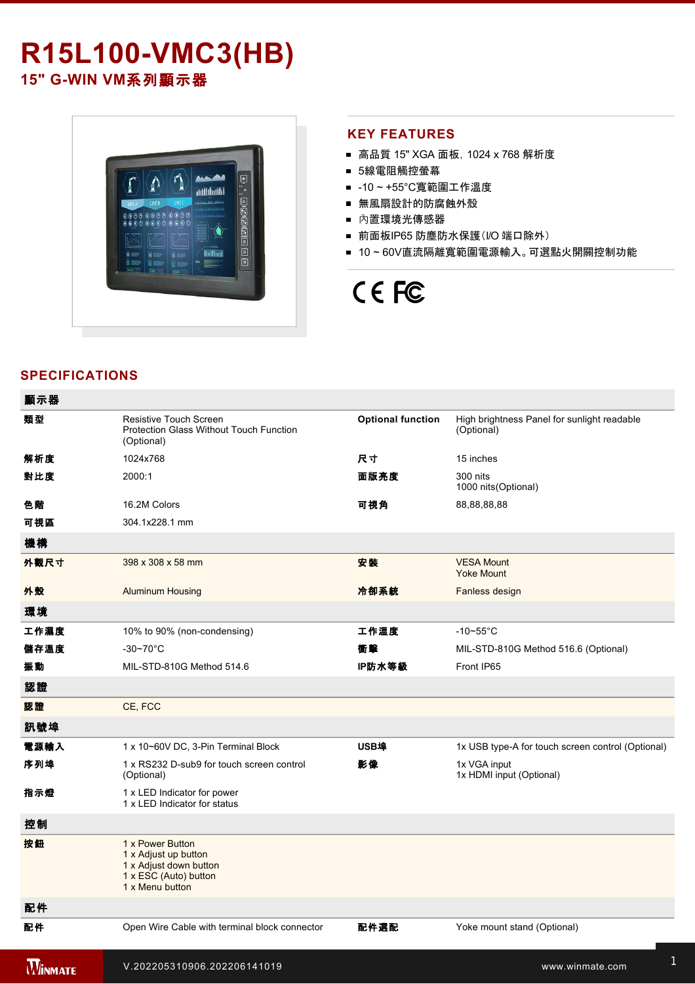# **R15L100-VMC3(HB)**

15" G-WIN VM系列顯示器



#### **KEY FEATURES**

- 高品質 15" XGA 面板, 1024 x 768 解析度
- 5線電阻觸控螢幕
- -10~+55°C寬範圍工作溫度
- 無風扇設計的防腐蝕外殼
- 內置環境光傳感器
- 前面板IP65 防塵防水保護(I/O 端口除外)
- 10~60V直流隔離寬範圍電源輸入。可選點火開關控制功能

## CE FC

### **SPECIFICATIONS**

**WINMATE** 

| 顯示器            |                                                                                                                |                          |                                                           |
|----------------|----------------------------------------------------------------------------------------------------------------|--------------------------|-----------------------------------------------------------|
| 類型             | <b>Resistive Touch Screen</b><br>Protection Glass Without Touch Function<br>(Optional)                         | <b>Optional function</b> | High brightness Panel for sunlight readable<br>(Optional) |
| 解析度            | 1024x768                                                                                                       | 尺寸                       | 15 inches                                                 |
| 對比度            | 2000:1                                                                                                         | 面版亮度                     | 300 nits<br>1000 nits (Optional)                          |
| 色階             | 16.2M Colors                                                                                                   | 可視角                      | 88,88,88,88                                               |
| 可視區            | 304.1x228.1 mm                                                                                                 |                          |                                                           |
| 機構             |                                                                                                                |                          |                                                           |
| 外觀尺寸           | 398 x 308 x 58 mm                                                                                              | 安装                       | <b>VESA Mount</b><br><b>Yoke Mount</b>                    |
| 外殼             | <b>Aluminum Housing</b>                                                                                        | 冷卻系統                     | Fanless design                                            |
| 環境             |                                                                                                                |                          |                                                           |
| 工作濕度           | 10% to 90% (non-condensing)                                                                                    | 工作溫度                     | $-10-55$ °C                                               |
| 儲存溫度           | $-30 - 70$ °C                                                                                                  | 衝擊                       | MIL-STD-810G Method 516.6 (Optional)                      |
| 振動             | MIL-STD-810G Method 514.6                                                                                      | IP防水等級                   | Front IP65                                                |
| 認證             |                                                                                                                |                          |                                                           |
| 認證             | CE, FCC                                                                                                        |                          |                                                           |
| 訊號埠            |                                                                                                                |                          |                                                           |
| 電源輸入           | 1 x 10~60V DC, 3-Pin Terminal Block                                                                            | USB埠                     | 1x USB type-A for touch screen control (Optional)         |
| 序列埠            | 1 x RS232 D-sub9 for touch screen control<br>(Optional)                                                        | 影像                       | 1x VGA input<br>1x HDMI input (Optional)                  |
| 指示燈            | 1 x LED Indicator for power<br>1 x LED Indicator for status                                                    |                          |                                                           |
| 控制             |                                                                                                                |                          |                                                           |
| 按鈕             | 1 x Power Button<br>1 x Adjust up button<br>1 x Adjust down button<br>1 x ESC (Auto) button<br>1 x Menu button |                          |                                                           |
| 配件             |                                                                                                                |                          |                                                           |
| 配件             | Open Wire Cable with terminal block connector                                                                  | 配件選配                     | Yoke mount stand (Optional)                               |
| <b>MINMATE</b> | V.202205310906.202206141019                                                                                    |                          | www.winmate.com                                           |

External HDMI cable (Optional)